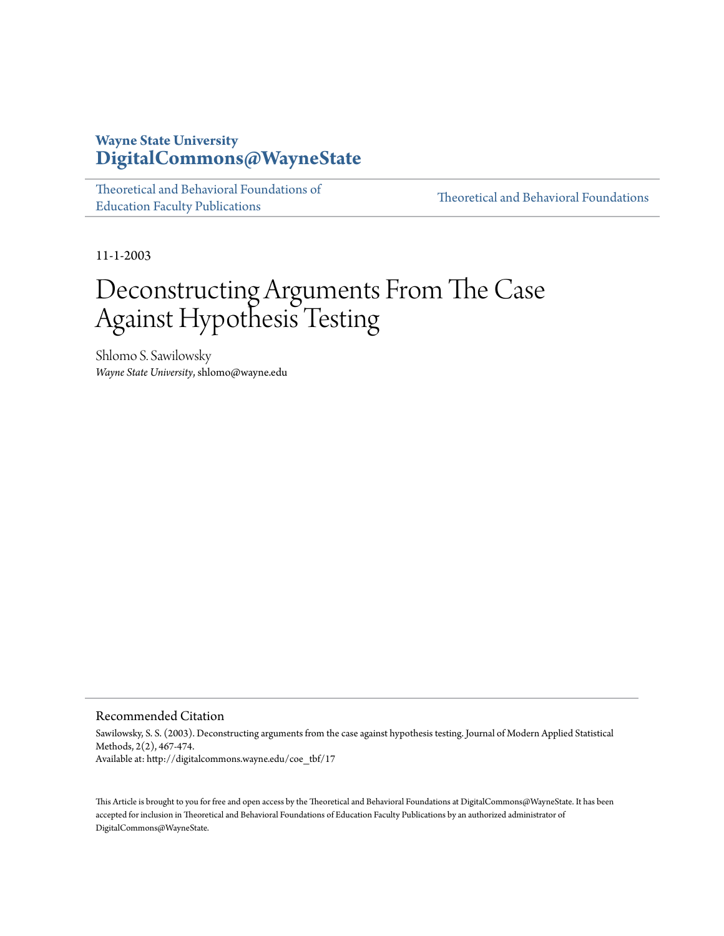## **Wayne State University [DigitalCommons@WayneState](http://digitalcommons.wayne.edu)**

| Theoretical and Behavioral Foundations of |
|-------------------------------------------|
| <b>Education Faculty Publications</b>     |

[Theoretical and Behavioral Foundations](http://digitalcommons.wayne.edu/tbf)

11-1-2003

# Deconstructing Arguments From The Case Against Hypothesis Testing

Shlomo S. Sawilowsky *Wayne State University*, shlomo@wayne.edu

#### Recommended Citation

Sawilowsky, S. S. (2003). Deconstructing arguments from the case against hypothesis testing. Journal of Modern Applied Statistical Methods, 2(2), 467-474. Available at: http://digitalcommons.wayne.edu/coe\_tbf/17

This Article is brought to you for free and open access by the Theoretical and Behavioral Foundations at DigitalCommons@WayneState. It has been accepted for inclusion in Theoretical and Behavioral Foundations of Education Faculty Publications by an authorized administrator of DigitalCommons@WayneState.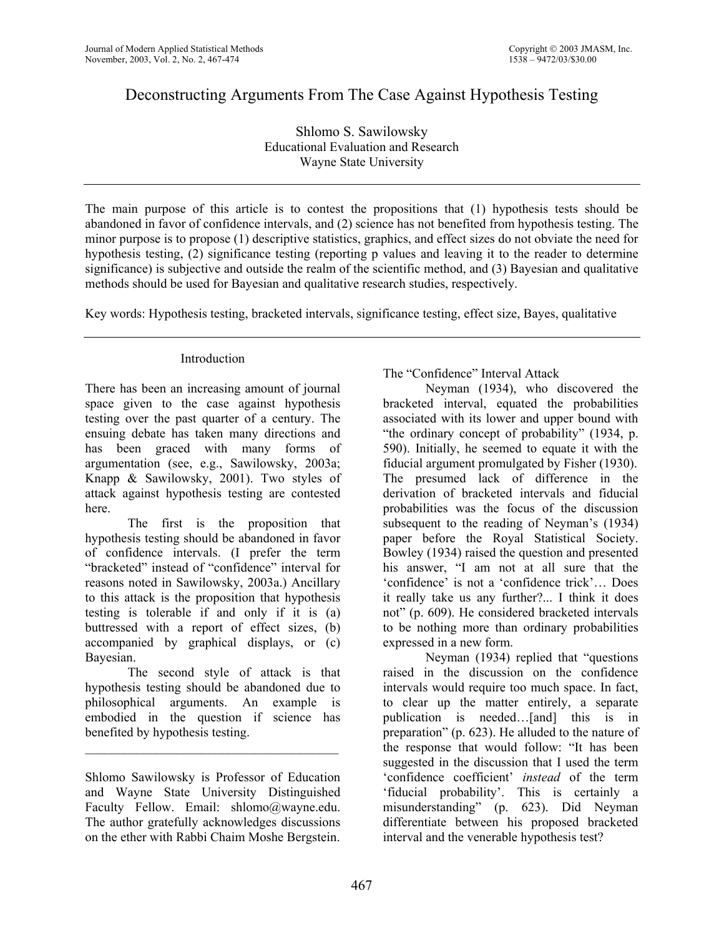## Deconstructing Arguments From The Case Against Hypothesis Testing

Shlomo S. Sawilowsky Educational Evaluation and Research Wayne State University

The main purpose of this article is to contest the propositions that (1) hypothesis tests should be abandoned in favor of confidence intervals, and (2) science has not benefited from hypothesis testing. The minor purpose is to propose (1) descriptive statistics, graphics, and effect sizes do not obviate the need for hypothesis testing, (2) significance testing (reporting p values and leaving it to the reader to determine significance) is subjective and outside the realm of the scientific method, and (3) Bayesian and qualitative methods should be used for Bayesian and qualitative research studies, respectively.

Key words: Hypothesis testing, bracketed intervals, significance testing, effect size, Bayes, qualitative

## Introduction

There has been an increasing amount of journal space given to the case against hypothesis testing over the past quarter of a century. The ensuing debate has taken many directions and has been graced with many forms of argumentation (see, e.g., Sawilowsky, 2003a; Knapp & Sawilowsky, 2001). Two styles of attack against hypothesis testing are contested here.

 The first is the proposition that hypothesis testing should be abandoned in favor of confidence intervals. (I prefer the term "bracketed" instead of "confidence" interval for reasons noted in Sawilowsky, 2003a.) Ancillary to this attack is the proposition that hypothesis testing is tolerable if and only if it is (a) buttressed with a report of effect sizes, (b) accompanied by graphical displays, or (c) Bayesian.

 The second style of attack is that hypothesis testing should be abandoned due to philosophical arguments. An example is embodied in the question if science has benefited by hypothesis testing.

 $\mathcal{L}_\text{max}$ 

Shlomo Sawilowsky is Professor of Education and Wayne State University Distinguished Faculty Fellow. Email: shlomo@wayne.edu. The author gratefully acknowledges discussions on the ether with Rabbi Chaim Moshe Bergstein.

The "Confidence" Interval Attack

 Neyman (1934), who discovered the bracketed interval, equated the probabilities associated with its lower and upper bound with "the ordinary concept of probability" (1934, p. 590). Initially, he seemed to equate it with the fiducial argument promulgated by Fisher (1930). The presumed lack of difference in the derivation of bracketed intervals and fiducial probabilities was the focus of the discussion subsequent to the reading of Neyman's (1934) paper before the Royal Statistical Society. Bowley (1934) raised the question and presented his answer, "I am not at all sure that the 'confidence' is not a 'confidence trick'… Does it really take us any further?... I think it does not" (p. 609). He considered bracketed intervals to be nothing more than ordinary probabilities expressed in a new form.

 Neyman (1934) replied that "questions raised in the discussion on the confidence intervals would require too much space. In fact, to clear up the matter entirely, a separate publication is needed…[and] this is in preparation" (p. 623). He alluded to the nature of the response that would follow: "It has been suggested in the discussion that I used the term 'confidence coefficient' *instead* of the term 'fiducial probability'. This is certainly a misunderstanding" (p. 623). Did Neyman differentiate between his proposed bracketed interval and the venerable hypothesis test?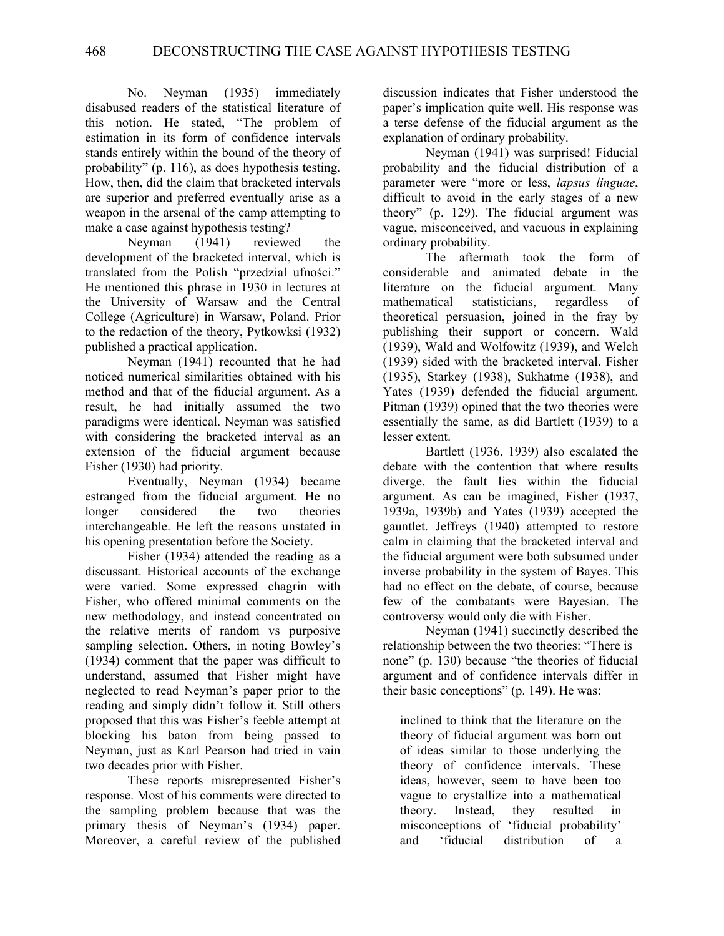No. Neyman (1935) immediately disabused readers of the statistical literature of this notion. He stated, "The problem of estimation in its form of confidence intervals stands entirely within the bound of the theory of probability" (p. 116), as does hypothesis testing. How, then, did the claim that bracketed intervals are superior and preferred eventually arise as a weapon in the arsenal of the camp attempting to make a case against hypothesis testing?

 Neyman (1941) reviewed the development of the bracketed interval, which is translated from the Polish "przedzial ufności." He mentioned this phrase in 1930 in lectures at the University of Warsaw and the Central College (Agriculture) in Warsaw, Poland. Prior to the redaction of the theory, Pytkowksi (1932) published a practical application.

 Neyman (1941) recounted that he had noticed numerical similarities obtained with his method and that of the fiducial argument. As a result, he had initially assumed the two paradigms were identical. Neyman was satisfied with considering the bracketed interval as an extension of the fiducial argument because Fisher (1930) had priority.

 Eventually, Neyman (1934) became estranged from the fiducial argument. He no longer considered the two theories interchangeable. He left the reasons unstated in his opening presentation before the Society.

 Fisher (1934) attended the reading as a discussant. Historical accounts of the exchange were varied. Some expressed chagrin with Fisher, who offered minimal comments on the new methodology, and instead concentrated on the relative merits of random vs purposive sampling selection. Others, in noting Bowley's (1934) comment that the paper was difficult to understand, assumed that Fisher might have neglected to read Neyman's paper prior to the reading and simply didn't follow it. Still others proposed that this was Fisher's feeble attempt at blocking his baton from being passed to Neyman, just as Karl Pearson had tried in vain two decades prior with Fisher.

 These reports misrepresented Fisher's response. Most of his comments were directed to the sampling problem because that was the primary thesis of Neyman's (1934) paper. Moreover, a careful review of the published

discussion indicates that Fisher understood the paper's implication quite well. His response was a terse defense of the fiducial argument as the explanation of ordinary probability.

 Neyman (1941) was surprised! Fiducial probability and the fiducial distribution of a parameter were "more or less, *lapsus linguae*, difficult to avoid in the early stages of a new theory" (p. 129). The fiducial argument was vague, misconceived, and vacuous in explaining ordinary probability.

 The aftermath took the form of considerable and animated debate in the literature on the fiducial argument. Many mathematical statisticians, regardless of theoretical persuasion, joined in the fray by publishing their support or concern. Wald (1939), Wald and Wolfowitz (1939), and Welch (1939) sided with the bracketed interval. Fisher (1935), Starkey (1938), Sukhatme (1938), and Yates (1939) defended the fiducial argument. Pitman (1939) opined that the two theories were essentially the same, as did Bartlett (1939) to a lesser extent.

 Bartlett (1936, 1939) also escalated the debate with the contention that where results diverge, the fault lies within the fiducial argument. As can be imagined, Fisher (1937, 1939a, 1939b) and Yates (1939) accepted the gauntlet. Jeffreys (1940) attempted to restore calm in claiming that the bracketed interval and the fiducial argument were both subsumed under inverse probability in the system of Bayes. This had no effect on the debate, of course, because few of the combatants were Bayesian. The controversy would only die with Fisher.

 Neyman (1941) succinctly described the relationship between the two theories: "There is none" (p. 130) because "the theories of fiducial argument and of confidence intervals differ in their basic conceptions" (p. 149). He was:

inclined to think that the literature on the theory of fiducial argument was born out of ideas similar to those underlying the theory of confidence intervals. These ideas, however, seem to have been too vague to crystallize into a mathematical theory. Instead, they resulted in misconceptions of 'fiducial probability' and 'fiducial distribution of a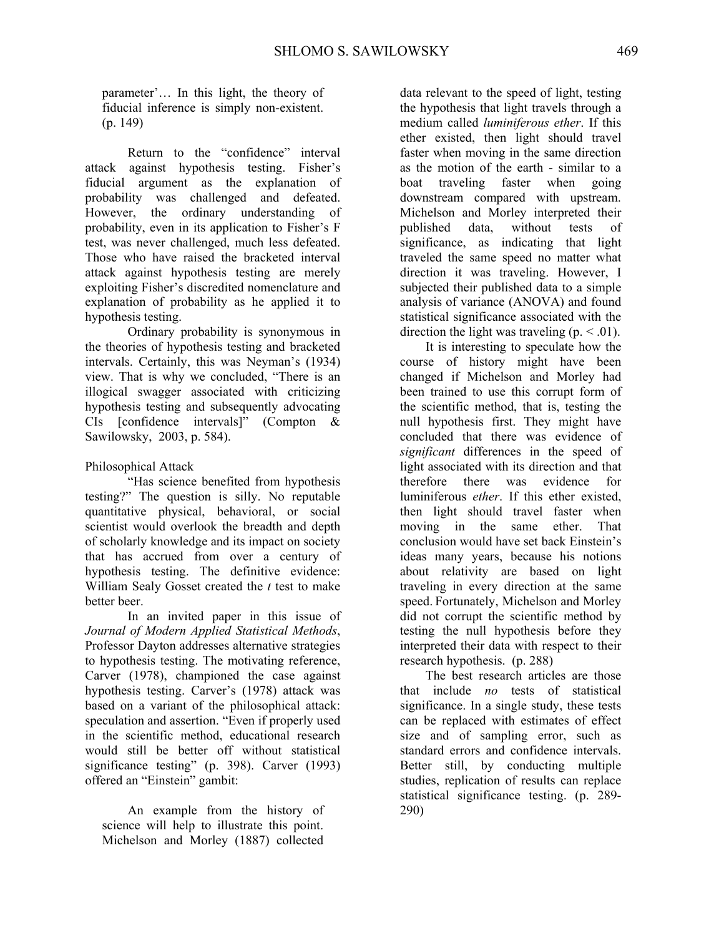parameter'… In this light, the theory of fiducial inference is simply non-existent. (p. 149)

 Return to the "confidence" interval attack against hypothesis testing. Fisher's fiducial argument as the explanation of probability was challenged and defeated. However, the ordinary understanding of probability, even in its application to Fisher's F test, was never challenged, much less defeated. Those who have raised the bracketed interval attack against hypothesis testing are merely exploiting Fisher's discredited nomenclature and explanation of probability as he applied it to hypothesis testing.

 Ordinary probability is synonymous in the theories of hypothesis testing and bracketed intervals. Certainly, this was Neyman's (1934) view. That is why we concluded, "There is an illogical swagger associated with criticizing hypothesis testing and subsequently advocating CIs [confidence intervals]" (Compton & Sawilowsky, 2003, p. 584).

Philosophical Attack

 "Has science benefited from hypothesis testing?" The question is silly. No reputable quantitative physical, behavioral, or social scientist would overlook the breadth and depth of scholarly knowledge and its impact on society that has accrued from over a century of hypothesis testing. The definitive evidence: William Sealy Gosset created the *t* test to make better beer.

 In an invited paper in this issue of *Journal of Modern Applied Statistical Methods*, Professor Dayton addresses alternative strategies to hypothesis testing. The motivating reference, Carver (1978), championed the case against hypothesis testing. Carver's (1978) attack was based on a variant of the philosophical attack: speculation and assertion. "Even if properly used in the scientific method, educational research would still be better off without statistical significance testing" (p. 398). Carver (1993) offered an "Einstein" gambit:

 An example from the history of science will help to illustrate this point. Michelson and Morley (1887) collected data relevant to the speed of light, testing the hypothesis that light travels through a medium called *luminiferous ether*. If this ether existed, then light should travel faster when moving in the same direction as the motion of the earth - similar to a boat traveling faster when going downstream compared with upstream. Michelson and Morley interpreted their published data, without tests of significance, as indicating that light traveled the same speed no matter what direction it was traveling. However, I subjected their published data to a simple analysis of variance (ANOVA) and found statistical significance associated with the direction the light was traveling  $(p. < 0.01)$ .

 It is interesting to speculate how the course of history might have been changed if Michelson and Morley had been trained to use this corrupt form of the scientific method, that is, testing the null hypothesis first. They might have concluded that there was evidence of *significant* differences in the speed of light associated with its direction and that therefore there was evidence for luminiferous *ether*. If this ether existed, then light should travel faster when moving in the same ether. That conclusion would have set back Einstein's ideas many years, because his notions about relativity are based on light traveling in every direction at the same speed. Fortunately, Michelson and Morley did not corrupt the scientific method by testing the null hypothesis before they interpreted their data with respect to their research hypothesis. (p. 288)

 The best research articles are those that include *no* tests of statistical significance. In a single study, these tests can be replaced with estimates of effect size and of sampling error, such as standard errors and confidence intervals. Better still, by conducting multiple studies, replication of results can replace statistical significance testing. (p. 289- 290)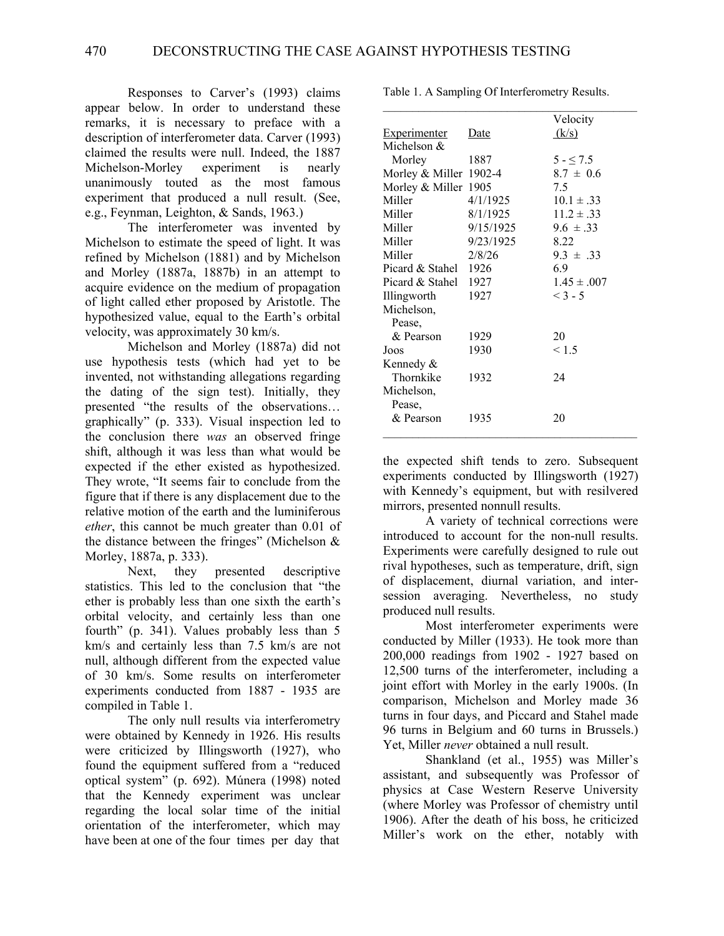Responses to Carver's (1993) claims appear below. In order to understand these remarks, it is necessary to preface with a description of interferometer data. Carver (1993) claimed the results were null. Indeed, the 1887 Michelson-Morley experiment is nearly unanimously touted as the most famous experiment that produced a null result. (See, e.g., Feynman, Leighton, & Sands, 1963.)

 The interferometer was invented by Michelson to estimate the speed of light. It was refined by Michelson (1881) and by Michelson and Morley (1887a, 1887b) in an attempt to acquire evidence on the medium of propagation of light called ether proposed by Aristotle. The hypothesized value, equal to the Earth's orbital velocity, was approximately 30 km/s.

 Michelson and Morley (1887a) did not use hypothesis tests (which had yet to be invented, not withstanding allegations regarding the dating of the sign test). Initially, they presented "the results of the observations… graphically" (p. 333). Visual inspection led to the conclusion there *was* an observed fringe shift, although it was less than what would be expected if the ether existed as hypothesized. They wrote, "It seems fair to conclude from the figure that if there is any displacement due to the relative motion of the earth and the luminiferous *ether*, this cannot be much greater than 0.01 of the distance between the fringes" (Michelson  $\&$ Morley, 1887a, p. 333).

 Next, they presented descriptive statistics. This led to the conclusion that "the ether is probably less than one sixth the earth's orbital velocity, and certainly less than one fourth" (p. 341). Values probably less than 5 km/s and certainly less than 7.5 km/s are not null, although different from the expected value of 30 km/s. Some results on interferometer experiments conducted from 1887 - 1935 are compiled in Table 1.

 The only null results via interferometry were obtained by Kennedy in 1926. His results were criticized by Illingsworth (1927), who found the equipment suffered from a "reduced optical system" (p. 692). Múnera (1998) noted that the Kennedy experiment was unclear regarding the local solar time of the initial orientation of the interferometer, which may have been at one of the four times per day that

Table 1. A Sampling Of Interferometry Results.

|                        |           | Velocity        |
|------------------------|-----------|-----------------|
| <b>Experimenter</b>    | Date      | (k/s)           |
| Michelson &            |           |                 |
| Morley                 | 1887      | $5 - 5.5$       |
| Morley & Miller 1902-4 |           | $8.7 \pm 0.6$   |
| Morley & Miller 1905   |           | 7.5             |
| Miller                 | 4/1/1925  | $10.1 \pm .33$  |
| Miller                 | 8/1/1925  | $11.2 \pm .33$  |
| Miller                 | 9/15/1925 | $9.6 \pm .33$   |
| Miller                 | 9/23/1925 | 8.22            |
| Miller                 | 2/8/26    | $9.3 \pm .33$   |
| Picard & Stahel        | 1926      | 69              |
| Picard & Stahel        | 1927      | $1.45 \pm .007$ |
| Illingworth            | 1927      | $< 3 - 5$       |
| Michelson,             |           |                 |
| Pease.                 |           |                 |
| & Pearson              | 1929      | 20              |
| Joos                   | 1930      | < 1.5           |
| Kennedy &              |           |                 |
| Thornkike              | 1932      | 24              |
| Michelson,             |           |                 |
| Pease,                 |           |                 |
| & Pearson              | 1935      | 20              |
|                        |           |                 |

the expected shift tends to zero. Subsequent experiments conducted by Illingsworth (1927) with Kennedy's equipment, but with resilvered mirrors, presented nonnull results.

 A variety of technical corrections were introduced to account for the non-null results. Experiments were carefully designed to rule out rival hypotheses, such as temperature, drift, sign of displacement, diurnal variation, and intersession averaging. Nevertheless, no study produced null results.

 Most interferometer experiments were conducted by Miller (1933). He took more than 200,000 readings from 1902 - 1927 based on 12,500 turns of the interferometer, including a joint effort with Morley in the early 1900s. (In comparison, Michelson and Morley made 36 turns in four days, and Piccard and Stahel made 96 turns in Belgium and 60 turns in Brussels.) Yet, Miller *never* obtained a null result.

 Shankland (et al., 1955) was Miller's assistant, and subsequently was Professor of physics at Case Western Reserve University (where Morley was Professor of chemistry until 1906). After the death of his boss, he criticized Miller's work on the ether, notably with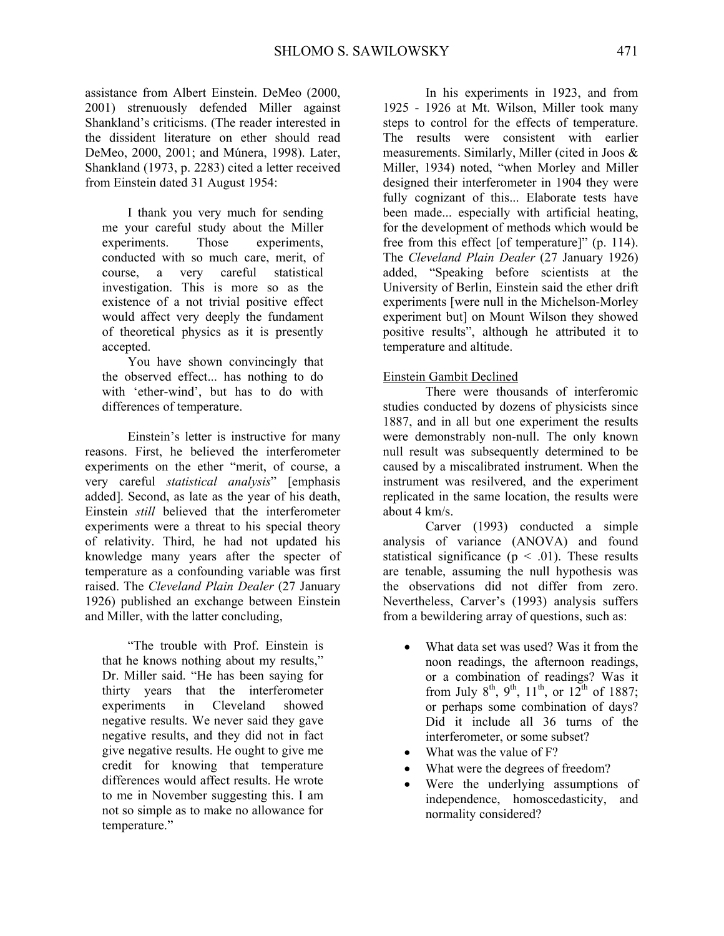assistance from Albert Einstein. DeMeo (2000, 2001) strenuously defended Miller against Shankland's criticisms. (The reader interested in the dissident literature on ether should read DeMeo, 2000, 2001; and Múnera, 1998). Later, Shankland (1973, p. 2283) cited a letter received from Einstein dated 31 August 1954:

 I thank you very much for sending me your careful study about the Miller experiments. Those experiments, conducted with so much care, merit, of course, a very careful statistical investigation. This is more so as the existence of a not trivial positive effect would affect very deeply the fundament of theoretical physics as it is presently accepted.

 You have shown convincingly that the observed effect... has nothing to do with 'ether-wind', but has to do with differences of temperature.

 Einstein's letter is instructive for many reasons. First, he believed the interferometer experiments on the ether "merit, of course, a very careful *statistical analysis*" [emphasis added]. Second, as late as the year of his death, Einstein *still* believed that the interferometer experiments were a threat to his special theory of relativity. Third, he had not updated his knowledge many years after the specter of temperature as a confounding variable was first raised. The *Cleveland Plain Dealer* (27 January 1926) published an exchange between Einstein and Miller, with the latter concluding,

 "The trouble with Prof. Einstein is that he knows nothing about my results," Dr. Miller said. "He has been saying for thirty years that the interferometer experiments in Cleveland showed negative results. We never said they gave negative results, and they did not in fact give negative results. He ought to give me credit for knowing that temperature differences would affect results. He wrote to me in November suggesting this. I am not so simple as to make no allowance for temperature."

 In his experiments in 1923, and from 1925 - 1926 at Mt. Wilson, Miller took many steps to control for the effects of temperature. The results were consistent with earlier measurements. Similarly, Miller (cited in Joos & Miller, 1934) noted, "when Morley and Miller designed their interferometer in 1904 they were fully cognizant of this... Elaborate tests have been made... especially with artificial heating, for the development of methods which would be free from this effect [of temperature]" (p. 114). The *Cleveland Plain Dealer* (27 January 1926) added, "Speaking before scientists at the University of Berlin, Einstein said the ether drift experiments [were null in the Michelson-Morley experiment but] on Mount Wilson they showed positive results", although he attributed it to temperature and altitude.

### Einstein Gambit Declined

 There were thousands of interferomic studies conducted by dozens of physicists since 1887, and in all but one experiment the results were demonstrably non-null. The only known null result was subsequently determined to be caused by a miscalibrated instrument. When the instrument was resilvered, and the experiment replicated in the same location, the results were about 4 km/s.

Carver (1993) conducted a simple analysis of variance (ANOVA) and found statistical significance ( $p < .01$ ). These results are tenable, assuming the null hypothesis was the observations did not differ from zero. Nevertheless, Carver's (1993) analysis suffers from a bewildering array of questions, such as:

- What data set was used? Was it from the noon readings, the afternoon readings, or a combination of readings? Was it from July 8<sup>th</sup>, 9<sup>th</sup>, 11<sup>th</sup>, or 12<sup>th</sup> of 1887; or perhaps some combination of days? Did it include all 36 turns of the interferometer, or some subset?
- What was the value of F?
- What were the degrees of freedom?
- Were the underlying assumptions of independence, homoscedasticity, and normality considered?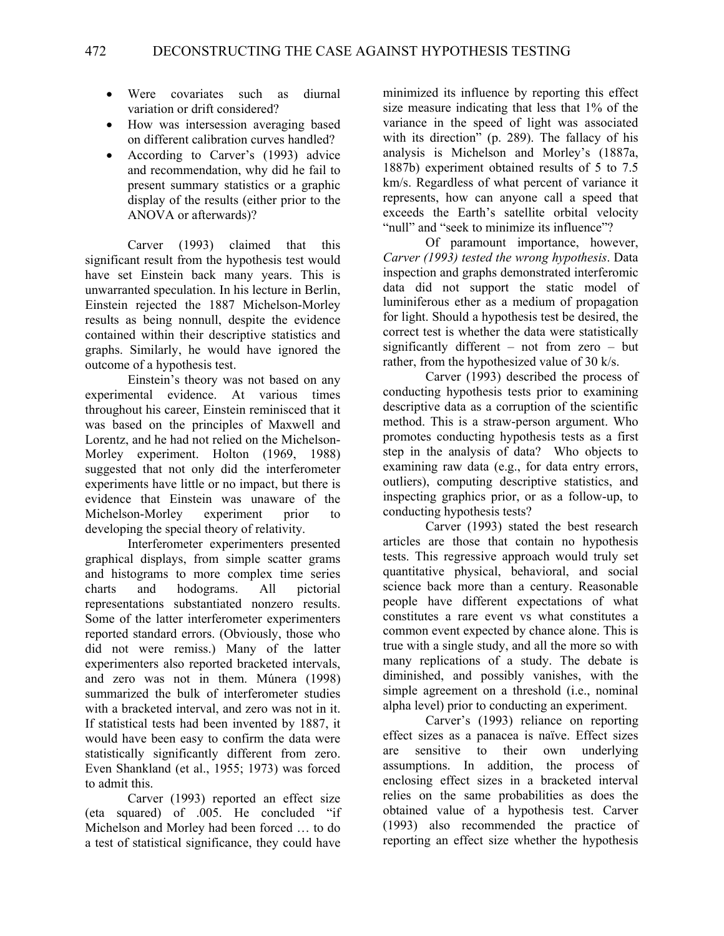- Were covariates such as diurnal variation or drift considered?
- How was intersession averaging based on different calibration curves handled?
- According to Carver's (1993) advice and recommendation, why did he fail to present summary statistics or a graphic display of the results (either prior to the ANOVA or afterwards)?

 Carver (1993) claimed that this significant result from the hypothesis test would have set Einstein back many years. This is unwarranted speculation. In his lecture in Berlin, Einstein rejected the 1887 Michelson-Morley results as being nonnull, despite the evidence contained within their descriptive statistics and graphs. Similarly, he would have ignored the outcome of a hypothesis test.

 Einstein's theory was not based on any experimental evidence. At various times throughout his career, Einstein reminisced that it was based on the principles of Maxwell and Lorentz, and he had not relied on the Michelson-Morley experiment. Holton (1969, 1988) suggested that not only did the interferometer experiments have little or no impact, but there is evidence that Einstein was unaware of the Michelson-Morley experiment prior to developing the special theory of relativity.

 Interferometer experimenters presented graphical displays, from simple scatter grams and histograms to more complex time series charts and hodograms. All pictorial representations substantiated nonzero results. Some of the latter interferometer experimenters reported standard errors. (Obviously, those who did not were remiss.) Many of the latter experimenters also reported bracketed intervals, and zero was not in them. Múnera (1998) summarized the bulk of interferometer studies with a bracketed interval, and zero was not in it. If statistical tests had been invented by 1887, it would have been easy to confirm the data were statistically significantly different from zero. Even Shankland (et al., 1955; 1973) was forced to admit this.

 Carver (1993) reported an effect size (eta squared) of .005. He concluded "if Michelson and Morley had been forced … to do a test of statistical significance, they could have

minimized its influence by reporting this effect size measure indicating that less that 1% of the variance in the speed of light was associated with its direction<sup> $\dot{v}$ </sup> (p. 289). The fallacy of his analysis is Michelson and Morley's (1887a, 1887b) experiment obtained results of 5 to 7.5 km/s. Regardless of what percent of variance it represents, how can anyone call a speed that exceeds the Earth's satellite orbital velocity "null" and "seek to minimize its influence"?

 Of paramount importance, however, *Carver (1993) tested the wrong hypothesis*. Data inspection and graphs demonstrated interferomic data did not support the static model of luminiferous ether as a medium of propagation for light. Should a hypothesis test be desired, the correct test is whether the data were statistically significantly different – not from zero – but rather, from the hypothesized value of 30 k/s.

 Carver (1993) described the process of conducting hypothesis tests prior to examining descriptive data as a corruption of the scientific method. This is a straw-person argument. Who promotes conducting hypothesis tests as a first step in the analysis of data? Who objects to examining raw data (e.g., for data entry errors, outliers), computing descriptive statistics, and inspecting graphics prior, or as a follow-up, to conducting hypothesis tests?

 Carver (1993) stated the best research articles are those that contain no hypothesis tests. This regressive approach would truly set quantitative physical, behavioral, and social science back more than a century. Reasonable people have different expectations of what constitutes a rare event vs what constitutes a common event expected by chance alone. This is true with a single study, and all the more so with many replications of a study. The debate is diminished, and possibly vanishes, with the simple agreement on a threshold (i.e., nominal alpha level) prior to conducting an experiment.

 Carver's (1993) reliance on reporting effect sizes as a panacea is naïve. Effect sizes are sensitive to their own underlying assumptions. In addition, the process of enclosing effect sizes in a bracketed interval relies on the same probabilities as does the obtained value of a hypothesis test. Carver (1993) also recommended the practice of reporting an effect size whether the hypothesis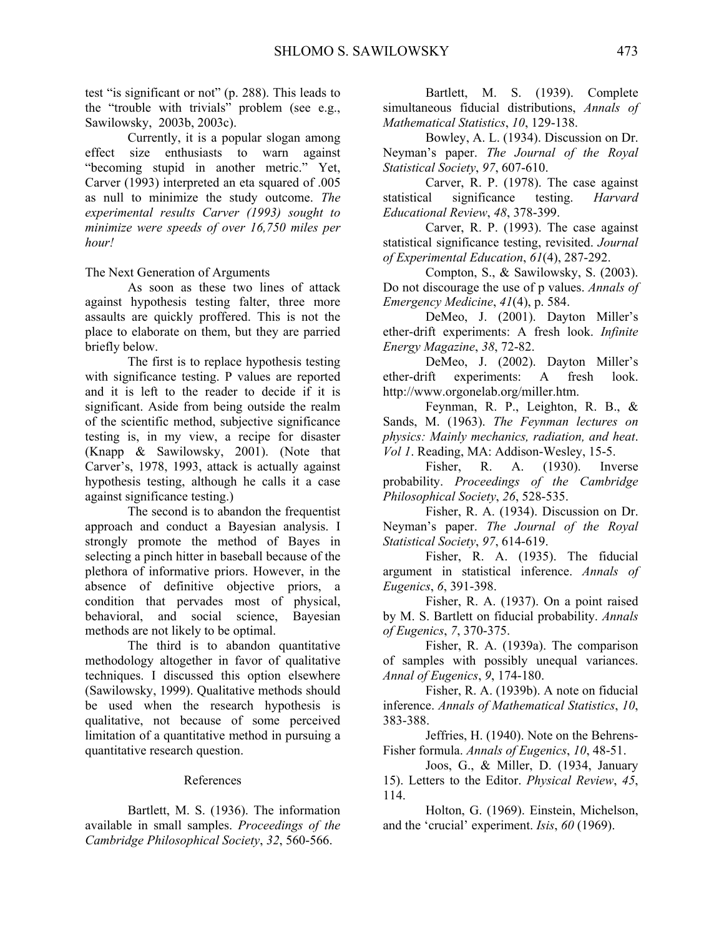test "is significant or not" (p. 288). This leads to the "trouble with trivials" problem (see e.g., Sawilowsky, 2003b, 2003c).

 Currently, it is a popular slogan among effect size enthusiasts to warn against "becoming stupid in another metric." Yet, Carver (1993) interpreted an eta squared of .005 as null to minimize the study outcome. *The experimental results Carver (1993) sought to minimize were speeds of over 16,750 miles per hour!*

The Next Generation of Arguments

 As soon as these two lines of attack against hypothesis testing falter, three more assaults are quickly proffered. This is not the place to elaborate on them, but they are parried briefly below.

 The first is to replace hypothesis testing with significance testing. P values are reported and it is left to the reader to decide if it is significant. Aside from being outside the realm of the scientific method, subjective significance testing is, in my view, a recipe for disaster (Knapp & Sawilowsky, 2001). (Note that Carver's, 1978, 1993, attack is actually against hypothesis testing, although he calls it a case against significance testing.)

 The second is to abandon the frequentist approach and conduct a Bayesian analysis. I strongly promote the method of Bayes in selecting a pinch hitter in baseball because of the plethora of informative priors. However, in the absence of definitive objective priors, a condition that pervades most of physical, behavioral, and social science, Bayesian methods are not likely to be optimal.

 The third is to abandon quantitative methodology altogether in favor of qualitative techniques. I discussed this option elsewhere (Sawilowsky, 1999). Qualitative methods should be used when the research hypothesis is qualitative, not because of some perceived limitation of a quantitative method in pursuing a quantitative research question.

### References

 Bartlett, M. S. (1936). The information available in small samples. *Proceedings of the Cambridge Philosophical Society*, *32*, 560-566.

 Bartlett, M. S. (1939). Complete simultaneous fiducial distributions, *Annals of Mathematical Statistics*, *10*, 129-138.

 Bowley, A. L. (1934). Discussion on Dr. Neyman's paper. *The Journal of the Royal Statistical Society*, *97*, 607-610.

 Carver, R. P. (1978). The case against statistical significance testing. *Harvard Educational Review*, *48*, 378-399.

 Carver, R. P. (1993). The case against statistical significance testing, revisited. *Journal of Experimental Education*, *61*(4), 287-292.

 Compton, S., & Sawilowsky, S. (2003). Do not discourage the use of p values. *Annals of Emergency Medicine*, *41*(4), p. 584.

 DeMeo, J. (2001). Dayton Miller's ether-drift experiments: A fresh look. *Infinite Energy Magazine*, *38*, 72-82.

 DeMeo, J. (2002). Dayton Miller's ether-drift experiments: A fresh look. http://www.orgonelab.org/miller.htm.

 Feynman, R. P., Leighton, R. B., & Sands, M. (1963). *The Feynman lectures on physics: Mainly mechanics, radiation, and heat*. *Vol 1*. Reading, MA: Addison-Wesley, 15-5.

 Fisher, R. A. (1930). Inverse probability. *Proceedings of the Cambridge Philosophical Society*, *26*, 528-535.

 Fisher, R. A. (1934). Discussion on Dr. Neyman's paper. *The Journal of the Royal Statistical Society*, *97*, 614-619.

 Fisher, R. A. (1935). The fiducial argument in statistical inference. *Annals of Eugenics*, *6*, 391-398.

 Fisher, R. A. (1937). On a point raised by M. S. Bartlett on fiducial probability. *Annals of Eugenics*, *7*, 370-375.

 Fisher, R. A. (1939a). The comparison of samples with possibly unequal variances. *Annal of Eugenics*, *9*, 174-180.

 Fisher, R. A. (1939b). A note on fiducial inference. *Annals of Mathematical Statistics*, *10*, 383-388.

 Jeffries, H. (1940). Note on the Behrens-Fisher formula. *Annals of Eugenics*, *10*, 48-51.

 Joos, G., & Miller, D. (1934, January 15). Letters to the Editor. *Physical Review*, *45*, 114.

 Holton, G. (1969). Einstein, Michelson, and the 'crucial' experiment. *Isis*, *60* (1969).